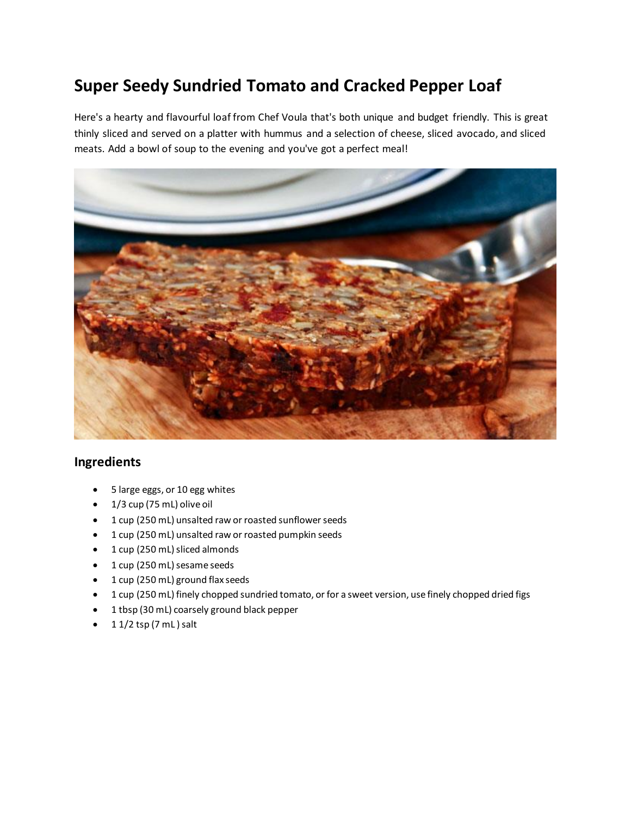## **Super Seedy Sundried Tomato and Cracked Pepper Loaf**

Here's a hearty and flavourful loaf from Chef Voula that's both unique and budget friendly. This is great thinly sliced and served on a platter with hummus and a selection of cheese, sliced avocado, and sliced meats. Add a bowl of soup to the evening and you've got a perfect meal!



## **Ingredients**

- 5 large eggs, or 10 egg whites
- $\bullet$  1/3 cup (75 mL) olive oil
- 1 cup (250 mL) unsalted raw or roasted sunflower seeds
- 1 cup (250 mL) unsalted raw or roasted pumpkin seeds
- 1 cup (250 mL) sliced almonds
- 1 cup (250 mL) sesame seeds
- 1 cup (250 mL) ground flax seeds
- 1 cup (250 mL) finely chopped sundried tomato, or for a sweet version, use finely chopped dried figs
- 1 tbsp (30 mL) coarsely ground black pepper
- $\bullet$  1 1/2 tsp (7 mL) salt